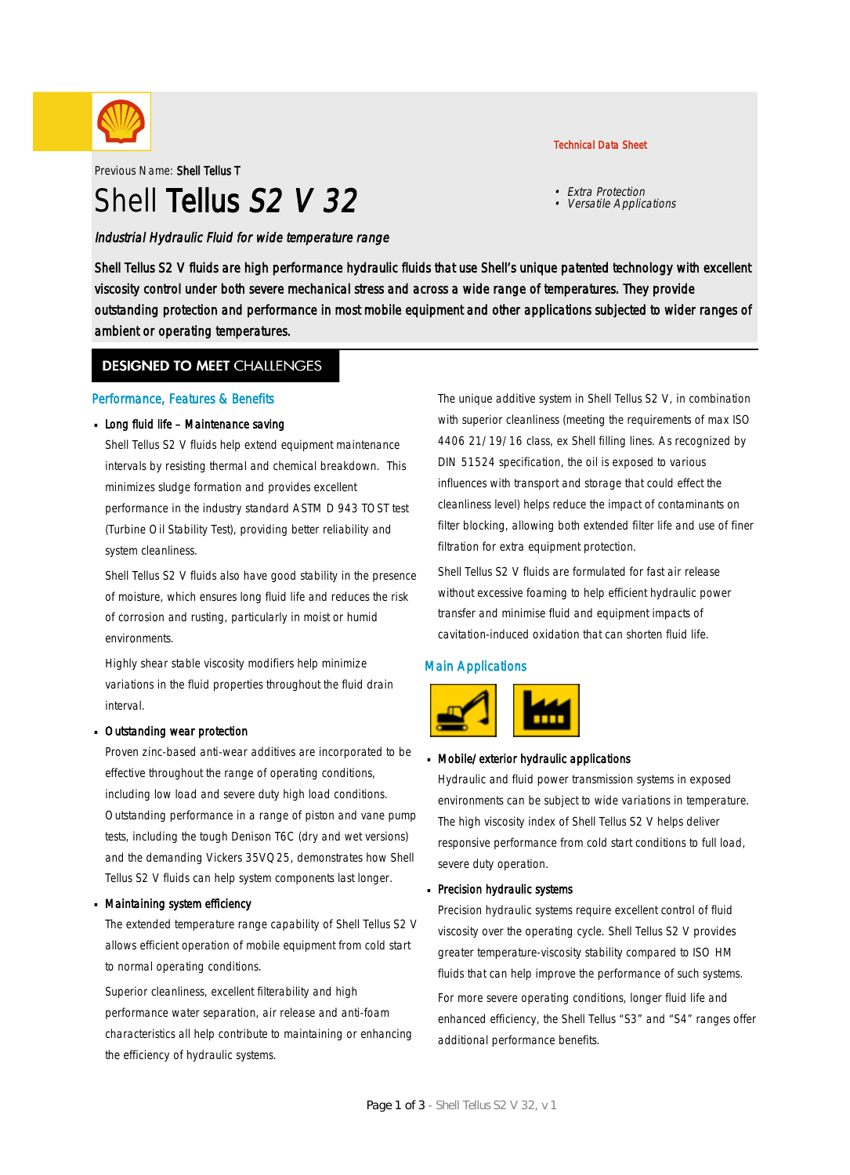

Previous Name: Shell Tellus T

# Shell Tellus S<sub>2</sub> V 3<sub>2</sub>

Industrial Hydraulic Fluid for wide temperature range

#### Technical Data Sheet

- Extra Protection
- Versatile Applications

Shell Tellus S2 V fluids are high performance hydraulic fluids that use Shell's unique patented technology with excellent viscosity control under both severe mechanical stress and across a wide range of temperatures. They provide outstanding protection and performance in most mobile equipment and other applications subjected to wider ranges of ambient or operating temperatures.

### **DESIGNED TO MEET CHALLENGES**

#### Performance, Features & Benefits

#### Long fluid life - Maintenance saving

Shell Tellus S2 V fluids help extend equipment maintenance intervals by resisting thermal and chemical breakdown. This minimizes sludge formation and provides excellent performance in the industry standard ASTM D 943 TOST test (Turbine Oil Stability Test), providing better reliability and system cleanliness.

Shell Tellus S2 V fluids also have good stability in the presence of moisture, which ensures long fluid life and reduces the risk of corrosion and rusting, particularly in moist or humid environments.

Highly shear stable viscosity modifiers help minimize variations in the fluid properties throughout the fluid drain interval.

#### Outstanding wear protection ·

Proven zinc-based anti-wear additives are incorporated to be effective throughout the range of operating conditions, including low load and severe duty high load conditions. Outstanding performance in a range of piston and vane pump tests, including the tough Denison T6C (dry and wet versions) and the demanding Vickers 35VQ25, demonstrates how Shell Tellus S2 V fluids can help system components last longer.

#### Maintaining system efficiency ·

The extended temperature range capability of Shell Tellus S2 V allows efficient operation of mobile equipment from cold start to normal operating conditions.

Superior cleanliness, excellent filterability and high performance water separation, air release and anti-foam characteristics all help contribute to maintaining or enhancing the efficiency of hydraulic systems.

The unique additive system in Shell Tellus S2 V, in combination with superior cleanliness (meeting the requirements of max ISO 4406 21/19/16 class, ex Shell filling lines. As recognized by DIN 51524 specification, the oil is exposed to various influences with transport and storage that could effect the cleanliness level) helps reduce the impact of contaminants on filter blocking, allowing both extended filter life and use of finer filtration for extra equipment protection.

Shell Tellus S2 V fluids are formulated for fast air release without excessive foaming to help efficient hydraulic power transfer and minimise fluid and equipment impacts of cavitation-induced oxidation that can shorten fluid life.

#### Main Applications



## Mobile/exterior hydraulic applications ·

Hydraulic and fluid power transmission systems in exposed environments can be subject to wide variations in temperature. The high viscosity index of Shell Tellus S2 V helps deliver responsive performance from cold start conditions to full load, severe duty operation.

## Precision hydraulic systems ·

Precision hydraulic systems require excellent control of fluid viscosity over the operating cycle. Shell Tellus S2 V provides greater temperature-viscosity stability compared to ISO HM fluids that can help improve the performance of such systems. For more severe operating conditions, longer fluid life and enhanced efficiency, the Shell Tellus "S3" and "S4" ranges offer additional performance benefits.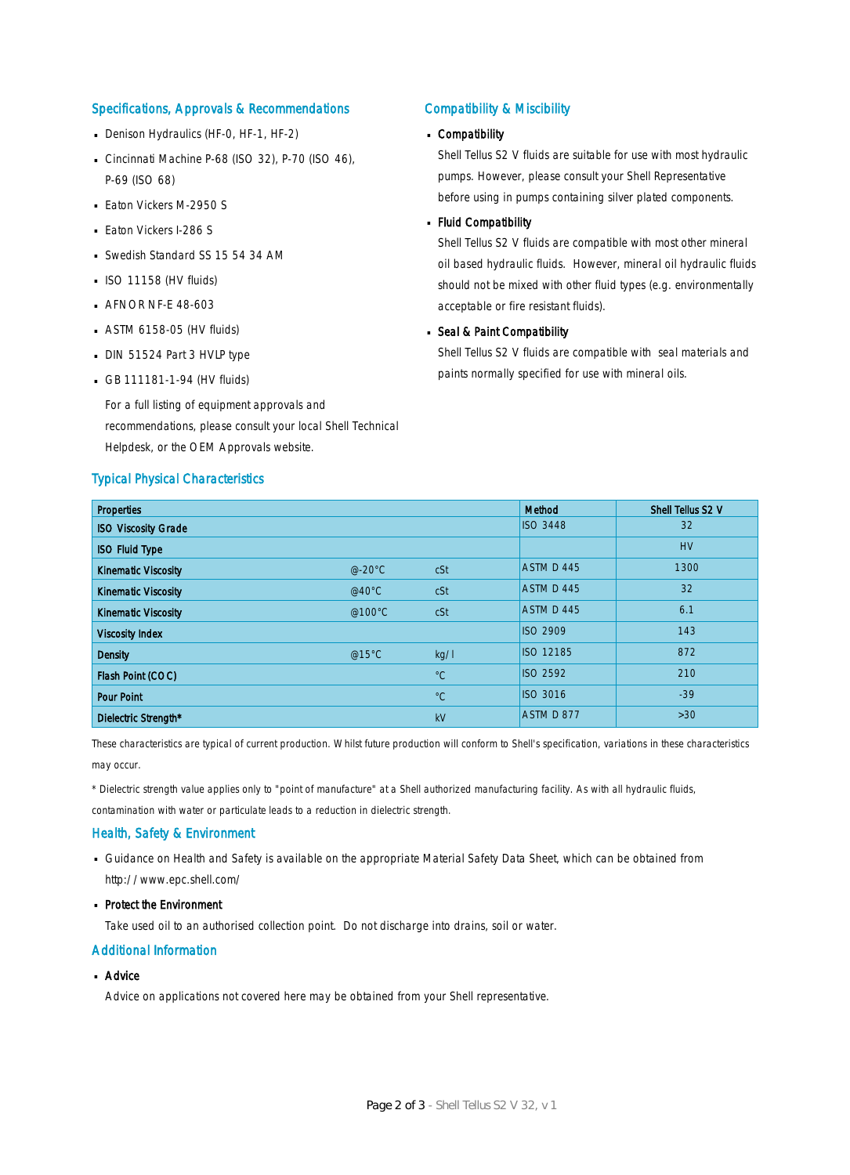#### Specifications, Approvals & Recommendations

- Denison Hydraulics (HF-0, HF-1, HF-2)
- Cincinnati Machine P-68 (ISO 32), P-70 (ISO 46), P-69 (ISO 68)
- **Eaton Vickers M-2950 S**
- **Eaton Vickers I-286 S**
- Swedish Standard SS 15 54 34 AM
- $\blacksquare$  ISO 11158 (HV fluids)
- **AFNOR NF-E 48-603**
- $-$  ASTM 6158-05 (HV fluids)
- DIN 51524 Part 3 HVLP type
- $-$  GB 111181-1-94 (HV fluids)

For a full listing of equipment approvals and recommendations, please consult your local Shell Technical Helpdesk, or the OEM Approvals website.

#### Typical Physical Characteristics

#### Compatibility & Miscibility

## Compatibility ·

Shell Tellus S2 V fluids are suitable for use with most hydraulic pumps. However, please consult your Shell Representative before using in pumps containing silver plated components.

## - Fluid Compatibility

Shell Tellus S2 V fluids are compatible with most other mineral oil based hydraulic fluids. However, mineral oil hydraulic fluids should not be mixed with other fluid types (e.g. environmentally acceptable or fire resistant fluids).

## Seal & Paint Compatibility

Shell Tellus S2 V fluids are compatible with seal materials and paints normally specified for use with mineral oils.

| <b>Properties</b>          |                  |             | Method           | Shell Tellus S2 V |
|----------------------------|------------------|-------------|------------------|-------------------|
| <b>ISO Viscosity Grade</b> |                  |             | <b>ISO 3448</b>  | 32                |
| <b>ISO Fluid Type</b>      |                  |             |                  | <b>HV</b>         |
| <b>Kinematic Viscosity</b> | $@-20°C$         | cSt         | ASTM D 445       | 1300              |
| <b>Kinematic Viscosity</b> | @40 $^{\circ}$ C | cSt         | ASTM D 445       | 32                |
| <b>Kinematic Viscosity</b> | @100°C           | cSt         | ASTM D 445       | 6.1               |
| <b>Viscosity Index</b>     |                  |             | <b>ISO 2909</b>  | 143               |
| <b>Density</b>             | @15°C            | kg/l        | <b>ISO 12185</b> | 872               |
| Flash Point (COC)          |                  | $^{\circ}C$ | <b>ISO 2592</b>  | 210               |
| <b>Pour Point</b>          |                  | $^{\circ}C$ | <b>ISO 3016</b>  | $-39$             |
| Dielectric Strength*       |                  | kV          | ASTM D 877       | $>30$             |

These characteristics are typical of current production. Whilst future production will conform to Shell's specification, variations in these characteristics may occur.

\* Dielectric strength value applies only to "point of manufacture" at a Shell authorized manufacturing facility. As with all hydraulic fluids,

contamination with water or particulate leads to a reduction in dielectric strength.

#### Health, Safety & Environment

■ Guidance on Health and Safety is available on the appropriate Material Safety Data Sheet, which can be obtained from http://www.epc.shell.com/

## • Protect the Environment

Take used oil to an authorised collection point. Do not discharge into drains, soil or water.

#### Additional Information

## ■ Advice

Advice on applications not covered here may be obtained from your Shell representative.